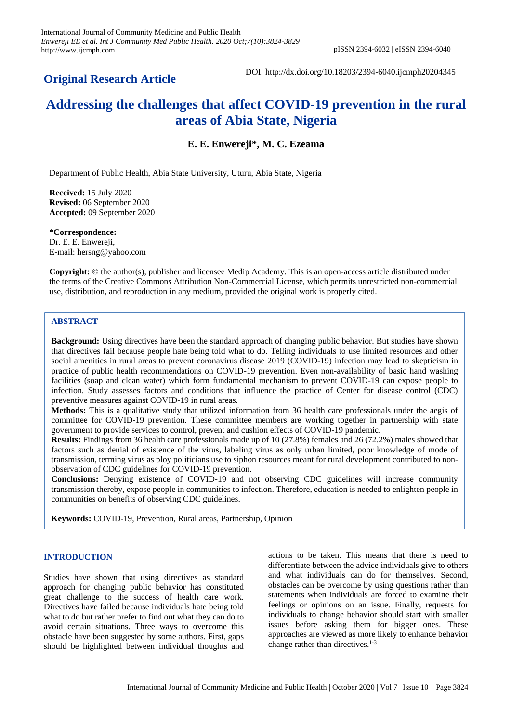# **Original Research Article**

DOI: http://dx.doi.org/10.18203/2394-6040.ijcmph20204345

# **Addressing the challenges that affect COVID-19 prevention in the rural areas of Abia State, Nigeria**

**E. E. Enwereji\*, M. C. Ezeama**

Department of Public Health, Abia State University, Uturu, Abia State, Nigeria

**Received:** 15 July 2020 **Revised:** 06 September 2020 **Accepted:** 09 September 2020

**\*Correspondence:** Dr. E. E. Enwereji, E-mail: hersng@yahoo.com

**Copyright:** © the author(s), publisher and licensee Medip Academy. This is an open-access article distributed under the terms of the Creative Commons Attribution Non-Commercial License, which permits unrestricted non-commercial use, distribution, and reproduction in any medium, provided the original work is properly cited.

# **ABSTRACT**

**Background:** Using directives have been the standard approach of changing public behavior. But studies have shown that directives fail because people hate being told what to do. Telling individuals to use limited resources and other social amenities in rural areas to prevent coronavirus disease 2019 (COVID-19) infection may lead to skepticism in practice of public health recommendations on COVID-19 prevention. Even non-availability of basic hand washing facilities (soap and clean water) which form fundamental mechanism to prevent COVID-19 can expose people to infection. Study assesses factors and conditions that influence the practice of Center for disease control (CDC) preventive measures against COVID-19 in rural areas.

**Methods:** This is a qualitative study that utilized information from 36 health care professionals under the aegis of committee for COVID-19 prevention. These committee members are working together in partnership with state government to provide services to control, prevent and cushion effects of COVID-19 pandemic.

**Results:** Findings from 36 health care professionals made up of 10 (27.8%) females and 26 (72.2%) males showed that factors such as denial of existence of the virus, labeling virus as only urban limited, poor knowledge of mode of transmission, terming virus as ploy politicians use to siphon resources meant for rural development contributed to nonobservation of CDC guidelines for COVID-19 prevention.

**Conclusions:** Denying existence of COVID-19 and not observing CDC guidelines will increase community transmission thereby, expose people in communities to infection. Therefore, education is needed to enlighten people in communities on benefits of observing CDC guidelines.

**Keywords:** COVID-19, Prevention, Rural areas, Partnership, Opinion

# **INTRODUCTION**

Studies have shown that using directives as standard approach for changing public behavior has constituted great challenge to the success of health care work. Directives have failed because individuals hate being told what to do but rather prefer to find out what they can do to avoid certain situations. Three ways to overcome this obstacle have been suggested by some authors. First, gaps should be highlighted between individual thoughts and

actions to be taken. This means that there is need to differentiate between the advice individuals give to others and what individuals can do for themselves. Second, obstacles can be overcome by using questions rather than statements when individuals are forced to examine their feelings or opinions on an issue. Finally, requests for individuals to change behavior should start with smaller issues before asking them for bigger ones. These approaches are viewed as more likely to enhance behavior change rather than directives.<sup>1-3</sup>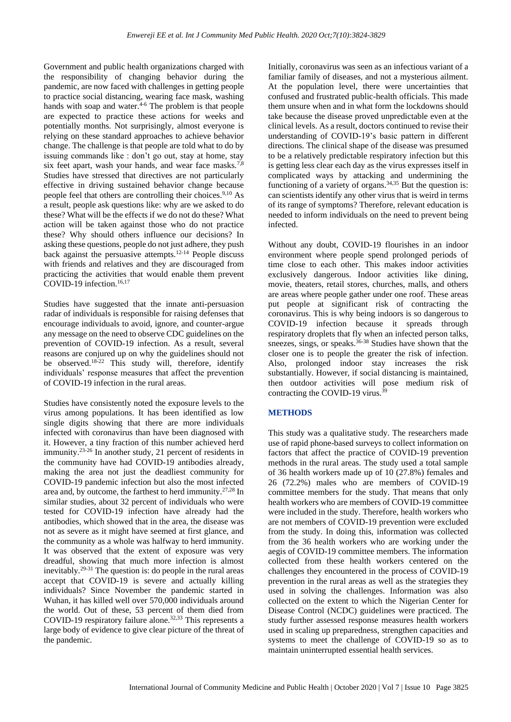Government and public health organizations charged with the responsibility of changing behavior during the pandemic, are now faced with challenges in getting people to practice social distancing, wearing face mask, washing hands with soap and water.<sup>4-6</sup> The problem is that people are expected to practice these actions for weeks and potentially months. Not surprisingly, almost everyone is relying on these standard approaches to achieve behavior change. The challenge is that people are told what to do by issuing commands like : don't go out, stay at home, stay six feet apart, wash your hands, and wear face masks.<sup>7,8</sup> Studies have stressed that directives are not particularly effective in driving sustained behavior change because people feel that others are controlling their choices.<sup>9,10</sup> As a result, people ask questions like: why are we asked to do these? What will be the effects if we do not do these? What action will be taken against those who do not practice these? Why should others influence our decisions? In asking these questions, people do not just adhere, they push back against the persuasive attempts.12-14 People discuss with friends and relatives and they are discouraged from practicing the activities that would enable them prevent COVID-19 infection.<sup>16,17</sup>

Studies have suggested that the innate anti-persuasion radar of individuals is responsible for raising defenses that encourage individuals to avoid, ignore, and counter-argue any message on the need to observe CDC guidelines on the prevention of COVID-19 infection. As a result, several reasons are conjured up on why the guidelines should not be observed.<sup>18-22</sup> This study will, therefore, identify individuals' response measures that affect the prevention of COVID-19 infection in the rural areas.

Studies have consistently noted the exposure levels to the virus among populations. It has been identified as low single digits showing that there are more individuals infected with coronavirus than have been diagnosed with it. However, a tiny fraction of this number achieved herd immunity.23-26 In another study, 21 percent of residents in the community have had COVID-19 antibodies already, making the area not just the deadliest community for COVID-19 pandemic infection but also the most infected area and, by outcome, the farthest to herd immunity.27,28 In similar studies, about 32 percent of individuals who were tested for COVID-19 infection have already had the antibodies, which showed that in the area, the disease was not as severe as it might have seemed at first glance, and the community as a whole was halfway to herd immunity. It was observed that the extent of exposure was very dreadful, showing that much more infection is almost inevitably.29-31 The question is: do people in the rural areas accept that COVID-19 is severe and actually killing individuals? Since November the pandemic started in Wuhan, it has killed well over 570,000 individuals around the world. Out of these, 53 percent of them died from COVID-19 respiratory failure alone.32,33 This represents a large body of evidence to give clear picture of the threat of the pandemic.

Initially, coronavirus was seen as an infectious variant of a familiar family of diseases, and not a mysterious ailment. At the population level, there were uncertainties that confused and frustrated public-health officials. This made them unsure when and in what form the lockdowns should take because the disease proved unpredictable even at the clinical levels. As a result, doctors continued to revise their understanding of COVID-19's basic pattern in different directions. The clinical shape of the disease was presumed to be a relatively predictable respiratory infection but this is getting less clear each day as the virus expresses itself in complicated ways by attacking and undermining the functioning of a variety of organs.<sup>34,35</sup> But the question is: can scientists identify any other virus that is weird in terms of its range of symptoms? Therefore, relevant education is needed to inform individuals on the need to prevent being infected.

Without any doubt, COVID-19 flourishes in an indoor environment where people spend prolonged periods of time close to each other. This makes indoor activities exclusively dangerous. Indoor activities like dining, movie, theaters, retail stores, churches, malls, and others are areas where people gather under one roof. These areas put people at significant risk of contracting the coronavirus. This is why being indoors is so dangerous to COVID-19 infection because it spreads through respiratory droplets that fly when an infected person talks, sneezes, sings, or speaks. $36-38$  Studies have shown that the closer one is to people the greater the risk of infection. Also, prolonged indoor stay increases the risk substantially. However, if social distancing is maintained, then outdoor activities will pose medium risk of contracting the COVID-19 virus.<sup>39</sup>

# **METHODS**

This study was a qualitative study. The researchers made use of rapid phone-based surveys to collect information on factors that affect the practice of COVID-19 prevention methods in the rural areas. The study used a total sample of 36 health workers made up of 10 (27.8%) females and 26 (72.2%) males who are members of COVID-19 committee members for the study. That means that only health workers who are members of COVID-19 committee were included in the study. Therefore, health workers who are not members of COVID-19 prevention were excluded from the study. In doing this, information was collected from the 36 health workers who are working under the aegis of COVID-19 committee members. The information collected from these health workers centered on the challenges they encountered in the process of COVID-19 prevention in the rural areas as well as the strategies they used in solving the challenges. Information was also collected on the extent to which the Nigerian Center for Disease Control (NCDC) guidelines were practiced. The study further assessed response measures health workers used in scaling up preparedness, strengthen capacities and systems to meet the challenge of COVID-19 so as to maintain uninterrupted essential health services.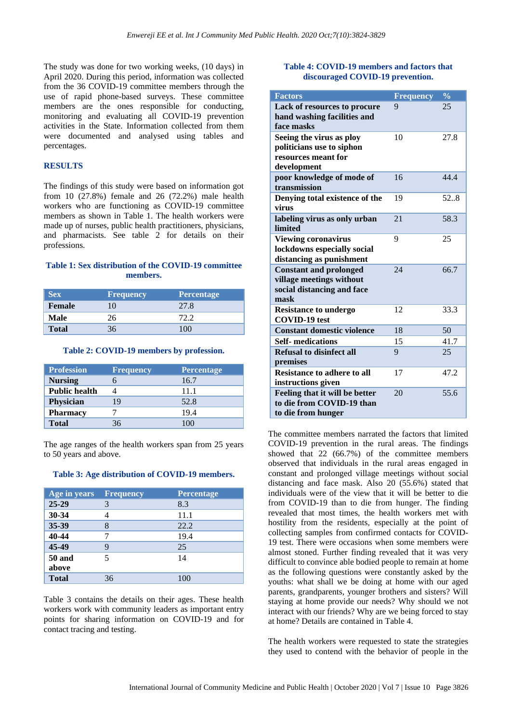The study was done for two working weeks, (10 days) in April 2020. During this period, information was collected from the 36 COVID-19 committee members through the use of rapid phone-based surveys. These committee members are the ones responsible for conducting, monitoring and evaluating all COVID-19 prevention activities in the State. Information collected from them were documented and analysed using tables and percentages.

# **RESULTS**

The findings of this study were based on information got from 10 (27.8%) female and 26 (72.2%) male health workers who are functioning as COVID-19 committee members as shown in Table 1. The health workers were made up of nurses, public health practitioners, physicians, and pharmacists. See table 2 for details on their professions.

# **Table 1: Sex distribution of the COVID-19 committee members.**

| <b>Sex</b>    | <b>Frequency</b> | <b>Percentage</b> |
|---------------|------------------|-------------------|
| <b>Female</b> | 10               | 27.8              |
| Male          | 26               | 72.2              |
| <b>Total</b>  | ላ 6              | 100               |

#### **Table 2: COVID-19 members by profession.**

| <b>Profession</b>    | <b>Frequency</b> | <b>Percentage</b> |
|----------------------|------------------|-------------------|
| <b>Nursing</b>       |                  | 16.7              |
| <b>Public health</b> |                  | 11.1              |
| <b>Physician</b>     | 19               | 52.8              |
| <b>Pharmacy</b>      |                  | 19.4              |
| <b>Total</b>         |                  |                   |

The age ranges of the health workers span from 25 years to 50 years and above.

#### **Table 3: Age distribution of COVID-19 members.**

| Age in years  | <b>Frequency</b> | <b>Percentage</b> |
|---------------|------------------|-------------------|
| $25 - 29$     |                  | 8.3               |
| 30-34         |                  | 11.1              |
| 35-39         |                  | 22.2              |
| 40-44         |                  | 19.4              |
| 45-49         |                  | 25                |
| <b>50 and</b> |                  | 14                |
| above         |                  |                   |
| <b>Total</b>  | 36               | 100               |

Table 3 contains the details on their ages. These health workers work with community leaders as important entry points for sharing information on COVID-19 and for contact tracing and testing.

#### **Table 4: COVID-19 members and factors that discouraged COVID-19 prevention.**

| <b>Factors</b>                                         | <b>Frequency</b> | $\frac{0}{0}$ |
|--------------------------------------------------------|------------------|---------------|
| Lack of resources to procure                           | 9                | 25            |
| hand washing facilities and<br>face masks              |                  |               |
| Seeing the virus as ploy                               | 10               | 27.8          |
| politicians use to siphon                              |                  |               |
| resources meant for                                    |                  |               |
| development                                            | 16               | 44.4          |
| poor knowledge of mode of<br>transmission              |                  |               |
| Denying total existence of the<br>virus                | 19               | 52.8          |
| labeling virus as only urban<br>limited                | 21               | 58.3          |
| <b>Viewing coronavirus</b>                             | 9                | 25            |
| lockdowns especially social                            |                  |               |
| distancing as punishment                               |                  |               |
| <b>Constant and prolonged</b>                          | 24               | 66.7          |
| village meetings without<br>social distancing and face |                  |               |
| mask                                                   |                  |               |
| <b>Resistance to undergo</b>                           | 12               | 33.3          |
| <b>COVID-19</b> test                                   |                  |               |
| <b>Constant domestic violence</b>                      | 18               | 50            |
| <b>Self-</b> medications                               | 15               | 41.7          |
| <b>Refusal to disinfect all</b>                        | 9                | 25            |
| premises                                               |                  |               |
| <b>Resistance to adhere to all</b>                     | 17               | 47.2          |
| instructions given                                     |                  |               |
| Feeling that it will be better                         | 20               | 55.6          |
| to die from COVID-19 than                              |                  |               |
| to die from hunger                                     |                  |               |

The committee members narrated the factors that limited COVID-19 prevention in the rural areas. The findings showed that 22 (66.7%) of the committee members observed that individuals in the rural areas engaged in constant and prolonged village meetings without social distancing and face mask. Also 20 (55.6%) stated that individuals were of the view that it will be better to die from COVID-19 than to die from hunger. The finding revealed that most times, the health workers met with hostility from the residents, especially at the point of collecting samples from confirmed contacts for COVID-19 test. There were occasions when some members were almost stoned. Further finding revealed that it was very difficult to convince able bodied people to remain at home as the following questions were constantly asked by the youths: what shall we be doing at home with our aged parents, grandparents, younger brothers and sisters? Will staying at home provide our needs? Why should we not interact with our friends? Why are we being forced to stay at home? Details are contained in Table 4.

The health workers were requested to state the strategies they used to contend with the behavior of people in the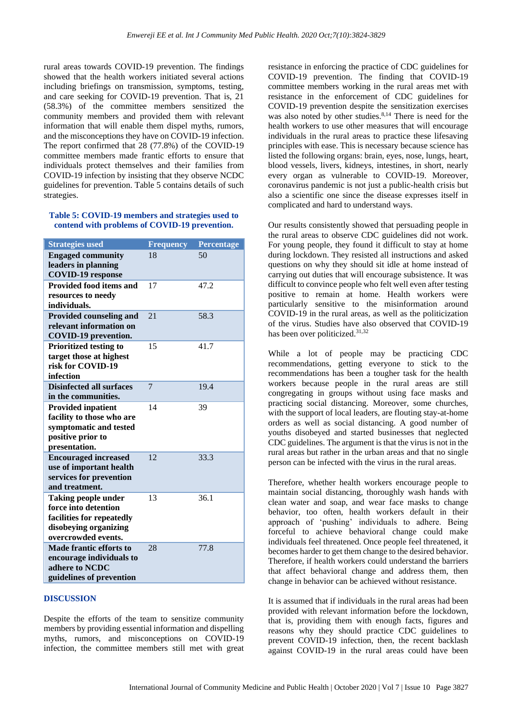rural areas towards COVID-19 prevention. The findings showed that the health workers initiated several actions including briefings on transmission, symptoms, testing, and care seeking for COVID-19 prevention. That is, 21 (58.3%) of the committee members sensitized the community members and provided them with relevant information that will enable them dispel myths, rumors, and the misconceptions they have on COVID-19 infection. The report confirmed that 28 (77.8%) of the COVID-19 committee members made frantic efforts to ensure that individuals protect themselves and their families from COVID-19 infection by insisting that they observe NCDC guidelines for prevention. Table 5 contains details of such strategies.

# **Table 5: COVID-19 members and strategies used to contend with problems of COVID-19 prevention.**

| <b>Strategies used</b>                                                                                                          | <b>Frequency</b> | <b>Percentage</b> |
|---------------------------------------------------------------------------------------------------------------------------------|------------------|-------------------|
| <b>Engaged community</b><br>leaders in planning<br><b>COVID-19</b> response                                                     | 18               | 50                |
| <b>Provided food items and</b><br>resources to needy<br>individuals.                                                            | 17               | 47.2              |
| <b>Provided counseling and</b><br>relevant information on<br>COVID-19 prevention.                                               | 21               | 58.3              |
| <b>Prioritized testing to</b><br>target those at highest<br>risk for COVID-19<br>infection                                      | 15               | 41.7              |
| <b>Disinfected all surfaces</b><br>in the communities.                                                                          | 7                | 19.4              |
| <b>Provided inpatient</b><br>facility to those who are<br>symptomatic and tested<br>positive prior to<br>presentation.          | 14               | 39                |
| <b>Encouraged increased</b><br>use of important health<br>services for prevention<br>and treatment.                             | 12               | 33.3              |
| <b>Taking people under</b><br>force into detention<br>facilities for repeatedly<br>disobeying organizing<br>overcrowded events. | 13               | 36.1              |
| <b>Made frantic efforts to</b><br>encourage individuals to<br>adhere to NCDC<br>guidelines of prevention                        | 28               | 77.8              |

#### **DISCUSSION**

Despite the efforts of the team to sensitize community members by providing essential information and dispelling myths, rumors, and misconceptions on COVID-19 infection, the committee members still met with great

resistance in enforcing the practice of CDC guidelines for COVID-19 prevention. The finding that COVID-19 committee members working in the rural areas met with resistance in the enforcement of CDC guidelines for COVID-19 prevention despite the sensitization exercises was also noted by other studies.<sup>8,14</sup> There is need for the health workers to use other measures that will encourage individuals in the rural areas to practice these lifesaving principles with ease. This is necessary because science has listed the following organs: brain, eyes, nose, lungs, heart, blood vessels, livers, kidneys, intestines, in short, nearly every organ as vulnerable to COVID-19. Moreover, coronavirus pandemic is not just a public-health crisis but also a scientific one since the disease expresses itself in complicated and hard to understand ways.

Our results consistently showed that persuading people in the rural areas to observe CDC guidelines did not work. For young people, they found it difficult to stay at home during lockdown. They resisted all instructions and asked questions on why they should sit idle at home instead of carrying out duties that will encourage subsistence. It was difficult to convince people who felt well even after testing positive to remain at home. Health workers were particularly sensitive to the misinformation around COVID-19 in the rural areas, as well as the politicization of the virus. Studies have also observed that COVID-19 has been over politicized.<sup>31,32</sup>

While a lot of people may be practicing CDC recommendations, getting everyone to stick to the recommendations has been a tougher task for the health workers because people in the rural areas are still congregating in groups without using face masks and practicing social distancing. Moreover, some churches, with the support of local leaders, are flouting stay-at-home orders as well as social distancing. A good number of youths disobeyed and started businesses that neglected CDC guidelines. The argument is that the virus is not in the rural areas but rather in the urban areas and that no single person can be infected with the virus in the rural areas.

Therefore, whether health workers encourage people to maintain social distancing, thoroughly wash hands with clean water and soap, and wear face masks to change behavior, too often, health workers default in their approach of 'pushing' individuals to adhere. Being forceful to achieve behavioral change could make individuals feel threatened. Once people feel threatened, it becomes harder to get them change to the desired behavior. Therefore, if health workers could understand the barriers that affect behavioral change and address them, then change in behavior can be achieved without resistance.

It is assumed that if individuals in the rural areas had been provided with relevant information before the lockdown, that is, providing them with enough facts, figures and reasons why they should practice CDC guidelines to prevent COVID-19 infection, then, the recent backlash against COVID-19 in the rural areas could have been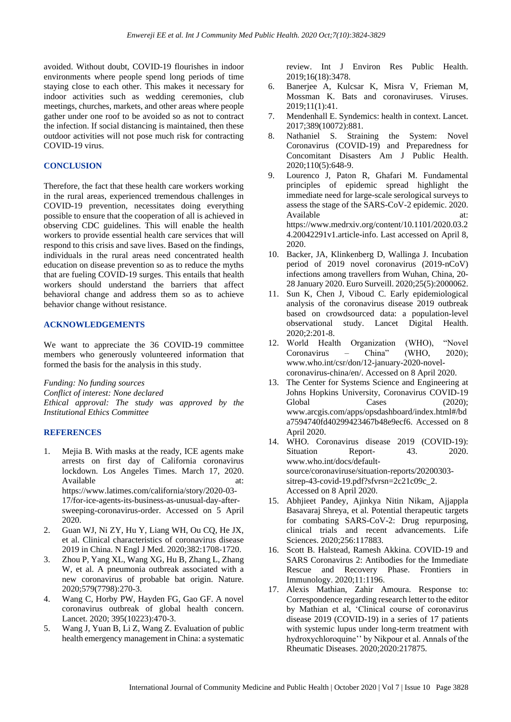avoided. Without doubt, COVID-19 flourishes in indoor environments where people spend long periods of time staying close to each other. This makes it necessary for indoor activities such as wedding ceremonies, club meetings, churches, markets, and other areas where people gather under one roof to be avoided so as not to contract the infection. If social distancing is maintained, then these outdoor activities will not pose much risk for contracting COVID-19 virus.

# **CONCLUSION**

Therefore, the fact that these health care workers working in the rural areas, experienced tremendous challenges in COVID-19 prevention, necessitates doing everything possible to ensure that the cooperation of all is achieved in observing CDC guidelines. This will enable the health workers to provide essential health care services that will respond to this crisis and save lives. Based on the findings, individuals in the rural areas need concentrated health education on disease prevention so as to reduce the myths that are fueling COVID-19 surges. This entails that health workers should understand the barriers that affect behavioral change and address them so as to achieve behavior change without resistance.

# **ACKNOWLEDGEMENTS**

We want to appreciate the 36 COVID-19 committee members who generously volunteered information that formed the basis for the analysis in this study.

*Funding: No funding sources Conflict of interest: None declared Ethical approval: The study was approved by the Institutional Ethics Committee*

#### **REFERENCES**

- 1. Mejia B. With masks at the ready, ICE agents make arrests on first day of California coronavirus lockdown. Los Angeles Times. March 17, 2020. Available at: at: https://www.latimes.com/california/story/2020-03- 17/for-ice-agents-its-business-as-unusual-day-aftersweeping-coronavirus-order. Accessed on 5 April 2020.
- 2. Guan WJ, Ni ZY, Hu Y, Liang WH, Ou CQ, He JX, et al. Clinical characteristics of coronavirus disease 2019 in China. N Engl J Med. 2020;382:1708-1720.
- 3. Zhou P, Yang XL, Wang XG, Hu B, Zhang L, Zhang W, et al. A pneumonia outbreak associated with a new coronavirus of probable bat origin. Nature. 2020;579(7798):270-3.
- 4. Wang C, Horby PW, Hayden FG, Gao GF. A novel coronavirus outbreak of global health concern. Lancet. 2020; 395(10223):470-3.
- 5. Wang J, Yuan B, Li Z, Wang Z. Evaluation of public health emergency management in China: a systematic

review. Int J Environ Res Public Health. 2019;16(18):3478.

- 6. Banerjee A, Kulcsar K, Misra V, Frieman M, Mossman K. Bats and coronaviruses. Viruses. 2019;11(1):41.
- 7. Mendenhall E. Syndemics: health in context. Lancet. 2017;389(10072):881.
- 8. Nathaniel S. Straining the System: Novel Coronavirus (COVID-19) and Preparedness for Concomitant Disasters Am J Public Health. 2020;110(5):648-9.
- 9. Lourenco J, Paton R, Ghafari M. Fundamental principles of epidemic spread highlight the immediate need for large-scale serological surveys to assess the stage of the SARS-CoV-2 epidemic. 2020. Available at: at: https://www.medrxiv.org/content/10.1101/2020.03.2 4.20042291v1.article-info. Last accessed on April 8, 2020.
- 10. Backer, JA, Klinkenberg D, Wallinga J. Incubation period of 2019 novel coronavirus (2019-nCoV) infections among travellers from Wuhan, China, 20- 28 January 2020. Euro Surveill. 2020;25(5):2000062.
- 11. Sun K, Chen J, Viboud C. Early epidemiological analysis of the coronavirus disease 2019 outbreak based on crowdsourced data: a population-level observational study. Lancet Digital Health. 2020;2:201-8.
- 12. World Health Organization (WHO), "Novel Coronavirus – China" (WHO, 2020); www.who.int/csr/don/12-january-2020-novelcoronavirus-china/en/. Accessed on 8 April 2020.
- 13. The Center for Systems Science and Engineering at Johns Hopkins University, Coronavirus COVID-19 Global Cases (2020): www.arcgis.com/apps/opsdashboard/index.html#/bd a7594740fd40299423467b48e9ecf6. Accessed on 8 April 2020.
- 14. WHO. Coronavirus disease 2019 (COVID-19): Situation Report- 43. 2020. www.who.int/docs/defaultsource/coronaviruse/situation-reports/20200303 sitrep-43-covid-19.pdf?sfvrsn=2c21c09c\_2. Accessed on 8 April 2020.
- 15. Abhjieet Pandey, Ajinkya Nitin Nikam, Ajjappla Basavaraj Shreya, et al. Potential therapeutic targets for combating SARS-CoV-2: Drug repurposing, clinical trials and recent advancements. Life Sciences. 2020;256:117883.
- 16. Scott B. Halstead, Ramesh Akkina. COVID-19 and SARS Coronavirus 2: Antibodies for the Immediate Rescue and Recovery Phase. Frontiers in Immunology. 2020;11:1196.
- 17. Alexis Mathian, Zahir Amoura. Response to: Correspondence regarding research letter to the editor by Mathian et al, 'Clinical course of coronavirus disease 2019 (COVID-19) in a series of 17 patients with systemic lupus under long-term treatment with hydroxychloroquine'' by Nikpour et al. Annals of the Rheumatic Diseases. 2020;2020:217875.